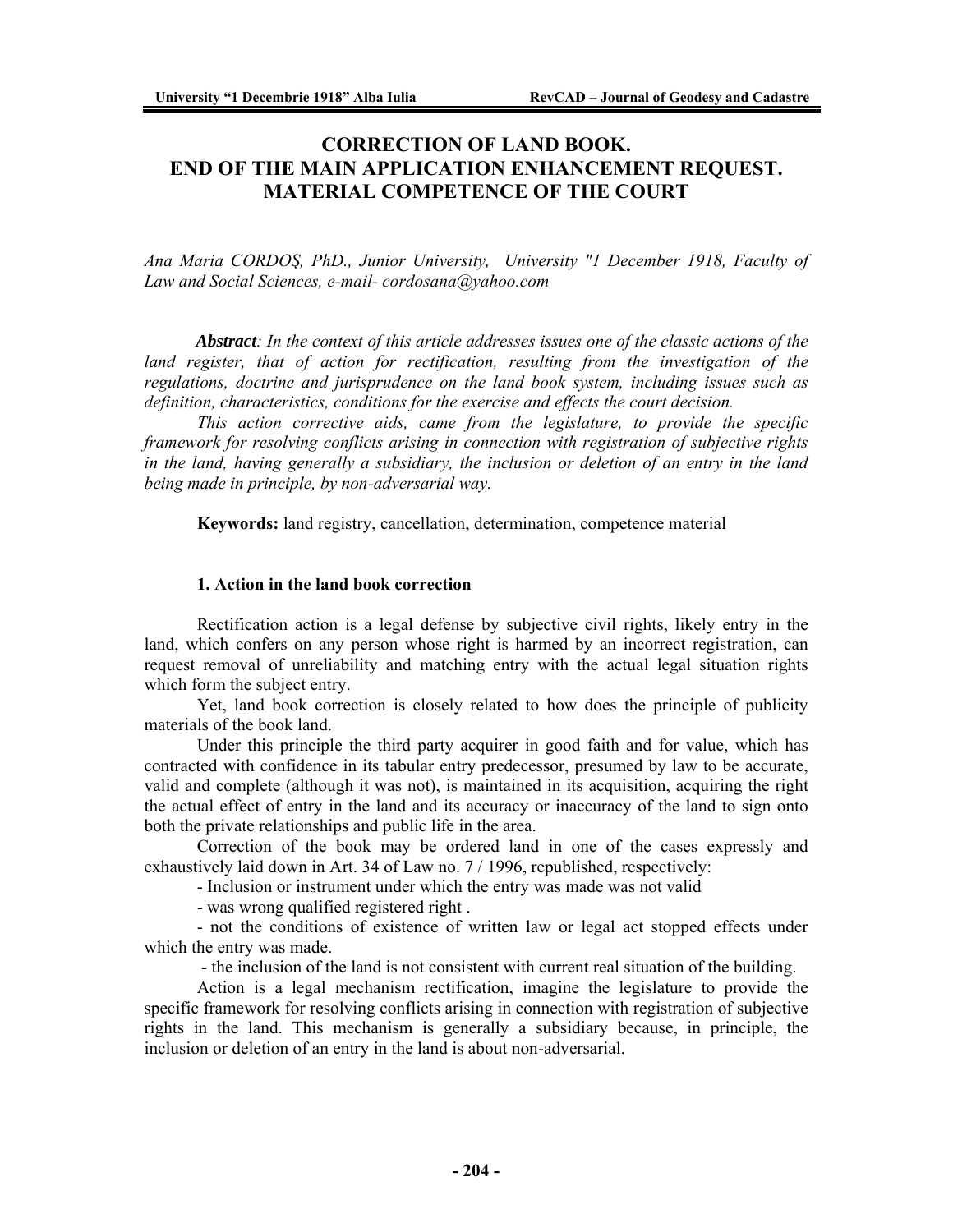# **CORRECTION OF LAND BOOK. END OF THE MAIN APPLICATION ENHANCEMENT REQUEST. MATERIAL COMPETENCE OF THE COURT**

*Ana Maria CORDOŞ, PhD., Junior University, University "1 December 1918, Faculty of Law and Social Sciences, e-mail- cordosana@yahoo.com* 

*Abstract: In the context of this article addresses issues one of the classic actions of the*  land register, that of action for rectification, resulting from the investigation of the *regulations, doctrine and jurisprudence on the land book system, including issues such as definition, characteristics, conditions for the exercise and effects the court decision.* 

 *This action corrective aids, came from the legislature, to provide the specific framework for resolving conflicts arising in connection with registration of subjective rights in the land, having generally a subsidiary, the inclusion or deletion of an entry in the land being made in principle, by non-adversarial way.* 

**Keywords:** land registry, cancellation, determination, competence material

#### **1. Action in the land book correction**

Rectification action is a legal defense by subjective civil rights, likely entry in the land, which confers on any person whose right is harmed by an incorrect registration, can request removal of unreliability and matching entry with the actual legal situation rights which form the subject entry.

 Yet, land book correction is closely related to how does the principle of publicity materials of the book land.

 Under this principle the third party acquirer in good faith and for value, which has contracted with confidence in its tabular entry predecessor, presumed by law to be accurate, valid and complete (although it was not), is maintained in its acquisition, acquiring the right the actual effect of entry in the land and its accuracy or inaccuracy of the land to sign onto both the private relationships and public life in the area.

 Correction of the book may be ordered land in one of the cases expressly and exhaustively laid down in Art. 34 of Law no. 7 / 1996, republished, respectively:

- Inclusion or instrument under which the entry was made was not valid

- was wrong qualified registered right .

 - not the conditions of existence of written law or legal act stopped effects under which the entry was made.

- the inclusion of the land is not consistent with current real situation of the building.

 Action is a legal mechanism rectification, imagine the legislature to provide the specific framework for resolving conflicts arising in connection with registration of subjective rights in the land. This mechanism is generally a subsidiary because, in principle, the inclusion or deletion of an entry in the land is about non-adversarial.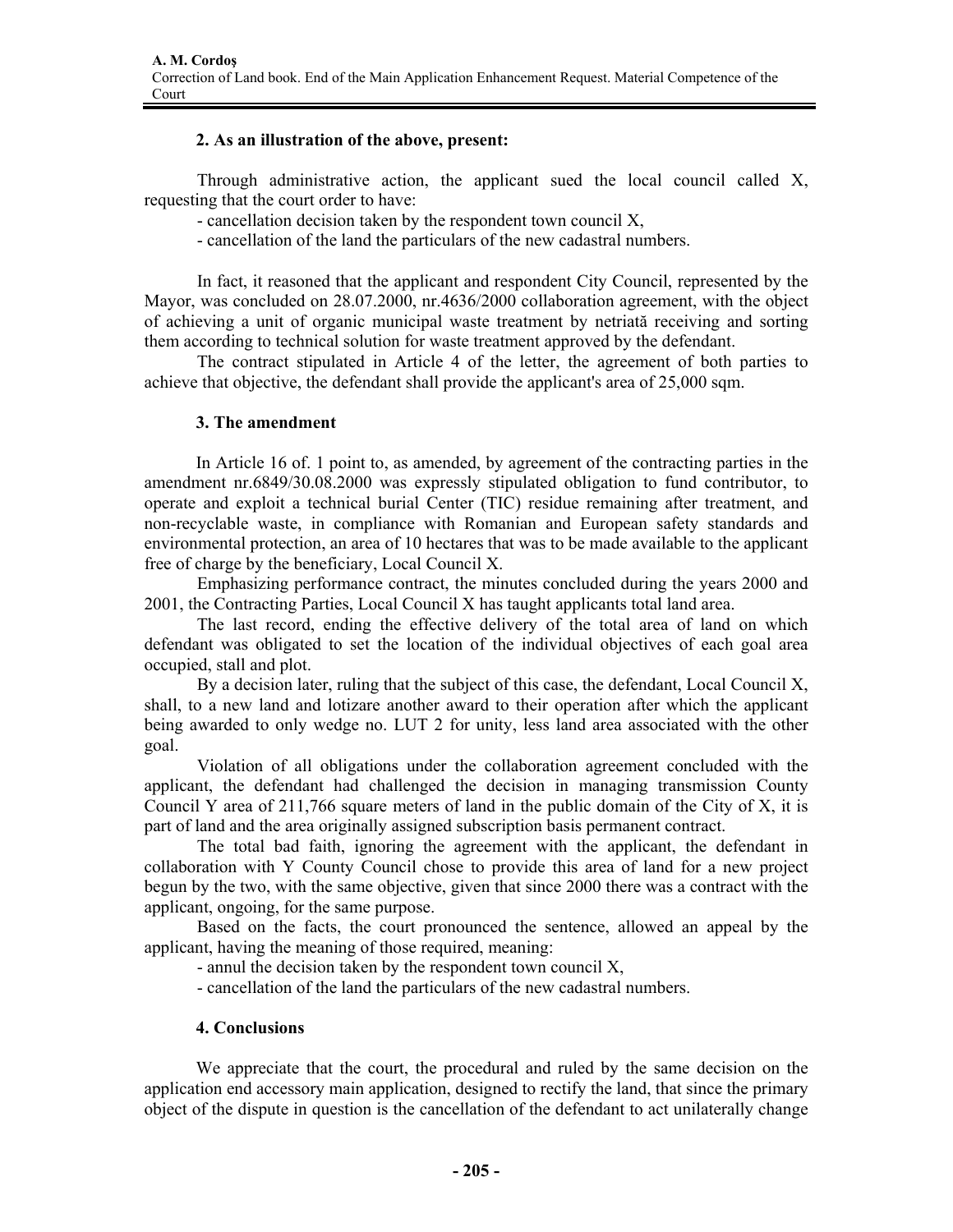# **2. As an illustration of the above, present:**

Through administrative action, the applicant sued the local council called X, requesting that the court order to have:

- cancellation decision taken by the respondent town council X,
- cancellation of the land the particulars of the new cadastral numbers.

 In fact, it reasoned that the applicant and respondent City Council, represented by the Mayor, was concluded on 28.07.2000, nr.4636/2000 collaboration agreement, with the object of achieving a unit of organic municipal waste treatment by netriată receiving and sorting them according to technical solution for waste treatment approved by the defendant.

 The contract stipulated in Article 4 of the letter, the agreement of both parties to achieve that objective, the defendant shall provide the applicant's area of 25,000 sqm.

# **3. The amendment**

In Article 16 of. 1 point to, as amended, by agreement of the contracting parties in the amendment nr.6849/30.08.2000 was expressly stipulated obligation to fund contributor, to operate and exploit a technical burial Center (TIC) residue remaining after treatment, and non-recyclable waste, in compliance with Romanian and European safety standards and environmental protection, an area of 10 hectares that was to be made available to the applicant free of charge by the beneficiary, Local Council X.

 Emphasizing performance contract, the minutes concluded during the years 2000 and 2001, the Contracting Parties, Local Council X has taught applicants total land area.

 The last record, ending the effective delivery of the total area of land on which defendant was obligated to set the location of the individual objectives of each goal area occupied, stall and plot.

 By a decision later, ruling that the subject of this case, the defendant, Local Council X, shall, to a new land and lotizare another award to their operation after which the applicant being awarded to only wedge no. LUT 2 for unity, less land area associated with the other goal.

 Violation of all obligations under the collaboration agreement concluded with the applicant, the defendant had challenged the decision in managing transmission County Council Y area of 211,766 square meters of land in the public domain of the City of X, it is part of land and the area originally assigned subscription basis permanent contract.

 The total bad faith, ignoring the agreement with the applicant, the defendant in collaboration with Y County Council chose to provide this area of land for a new project begun by the two, with the same objective, given that since 2000 there was a contract with the applicant, ongoing, for the same purpose.

 Based on the facts, the court pronounced the sentence, allowed an appeal by the applicant, having the meaning of those required, meaning:

- annul the decision taken by the respondent town council X,

- cancellation of the land the particulars of the new cadastral numbers.

### **4. Conclusions**

We appreciate that the court, the procedural and ruled by the same decision on the application end accessory main application, designed to rectify the land, that since the primary object of the dispute in question is the cancellation of the defendant to act unilaterally change